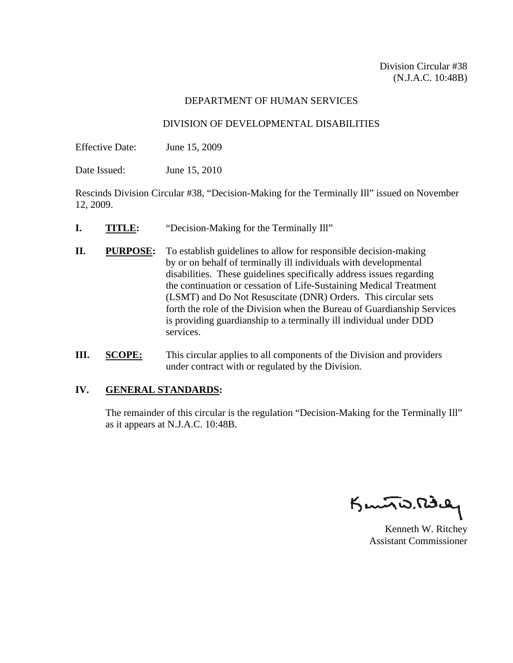#### DEPARTMENT OF HUMAN SERVICES

#### DIVISION OF DEVELOPMENTAL DISABILITIES

Effective Date: June 15, 2009

Date Issued: June 15, 2010

Rescinds Division Circular #38, "Decision-Making for the Terminally Ill" issued on November 12, 2009.

- **I. TITLE:** "Decision-Making for the Terminally Ill"
- **II.** PURPOSE: To establish guidelines to allow for responsible decision-making by or on behalf of terminally ill individuals with developmental disabilities. These guidelines specifically address issues regarding the continuation or cessation of Life-Sustaining Medical Treatment (LSMT) and Do Not Resuscitate (DNR) Orders. This circular sets forth the role of the Division when the Bureau of Guardianship Services is providing guardianship to a terminally ill individual under DDD services.
- **III. SCOPE:** This circular applies to all components of the Division and providers under contract with or regulated by the Division.

### **IV. GENERAL STANDARDS:**

 The remainder of this circular is the regulation "Decision-Making for the Terminally Ill" as it appears at N.J.A.C. 10:48B.

K**enneth W. Ritchey** 

Assistant Commissioner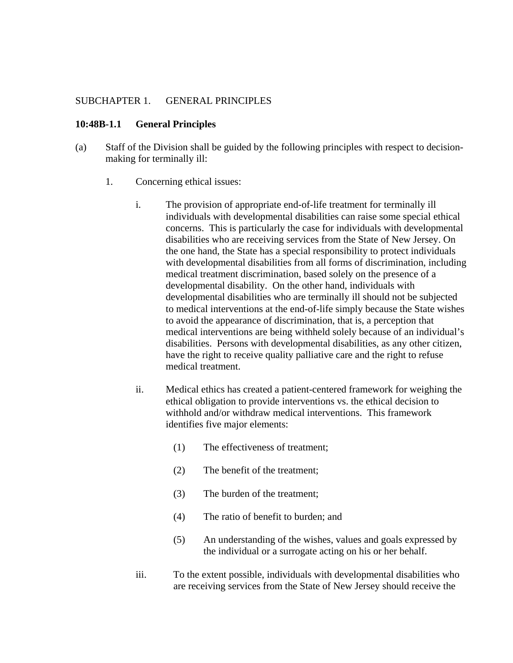#### SUBCHAPTER 1. GENERAL PRINCIPLES

#### **10:48B-1.1 General Principles**

- (a) Staff of the Division shall be guided by the following principles with respect to decision making for terminally ill:
	- 1. Concerning ethical issues:
		- i. The provision of appropriate end-of-life treatment for terminally ill individuals with developmental disabilities can raise some special ethical concerns. This is particularly the case for individuals with developmental disabilities who are receiving services from the State of New Jersey. On the one hand, the State has a special responsibility to protect individuals with developmental disabilities from all forms of discrimination, including medical treatment discrimination, based solely on the presence of a developmental disability. On the other hand, individuals with developmental disabilities who are terminally ill should not be subjected to medical interventions at the end-of-life simply because the State wishes to avoid the appearance of discrimination, that is, a perception that medical interventions are being withheld solely because of an individual's disabilities. Persons with developmental disabilities, as any other citizen, have the right to receive quality palliative care and the right to refuse medical treatment.
		- ii. Medical ethics has created a patient-centered framework for weighing the ethical obligation to provide interventions vs. the ethical decision to withhold and/or withdraw medical interventions. This framework identifies five major elements:
			- (1) The effectiveness of treatment;
			- (2) The benefit of the treatment;
			- (3) The burden of the treatment;
			- (4) The ratio of benefit to burden; and
			- (5) An understanding of the wishes, values and goals expressed by the individual or a surrogate acting on his or her behalf.
		- iii. To the extent possible, individuals with developmental disabilities who are receiving services from the State of New Jersey should receive the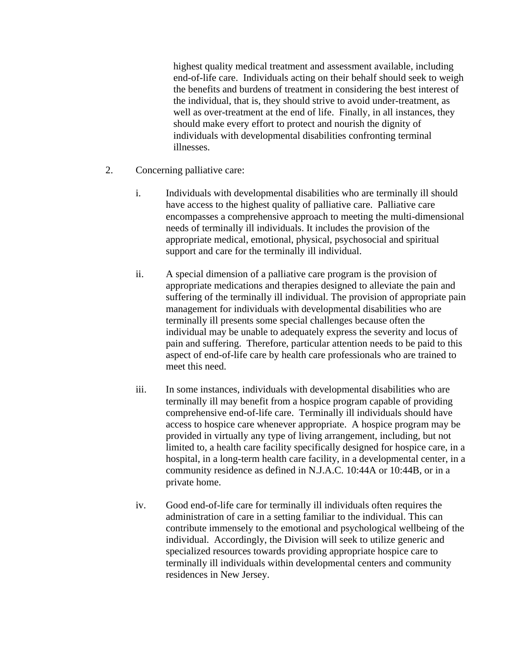highest quality medical treatment and assessment available, including end-of-life care. Individuals acting on their behalf should seek to weigh the benefits and burdens of treatment in considering the best interest of the individual, that is, they should strive to avoid under-treatment, as well as over-treatment at the end of life. Finally, in all instances, they should make every effort to protect and nourish the dignity of individuals with developmental disabilities confronting terminal illnesses.

- 2. Concerning palliative care:
	- i. Individuals with developmental disabilities who are terminally ill should have access to the highest quality of palliative care. Palliative care encompasses a comprehensive approach to meeting the multi-dimensional needs of terminally ill individuals. It includes the provision of the appropriate medical, emotional, physical, psychosocial and spiritual support and care for the terminally ill individual.
	- ii. A special dimension of a palliative care program is the provision of appropriate medications and therapies designed to alleviate the pain and suffering of the terminally ill individual. The provision of appropriate pain management for individuals with developmental disabilities who are terminally ill presents some special challenges because often the individual may be unable to adequately express the severity and locus of pain and suffering. Therefore, particular attention needs to be paid to this aspect of end-of-life care by health care professionals who are trained to meet this need.
	- iii. In some instances, individuals with developmental disabilities who are terminally ill may benefit from a hospice program capable of providing comprehensive end-of-life care. Terminally ill individuals should have access to hospice care whenever appropriate. A hospice program may be provided in virtually any type of living arrangement, including, but not limited to, a health care facility specifically designed for hospice care, in a hospital, in a long-term health care facility, in a developmental center, in a community residence as defined in N.J.A.C. 10:44A or 10:44B, or in a private home.
	- iv. Good end-of-life care for terminally ill individuals often requires the administration of care in a setting familiar to the individual. This can contribute immensely to the emotional and psychological wellbeing of the individual. Accordingly, the Division will seek to utilize generic and specialized resources towards providing appropriate hospice care to terminally ill individuals within developmental centers and community residences in New Jersey.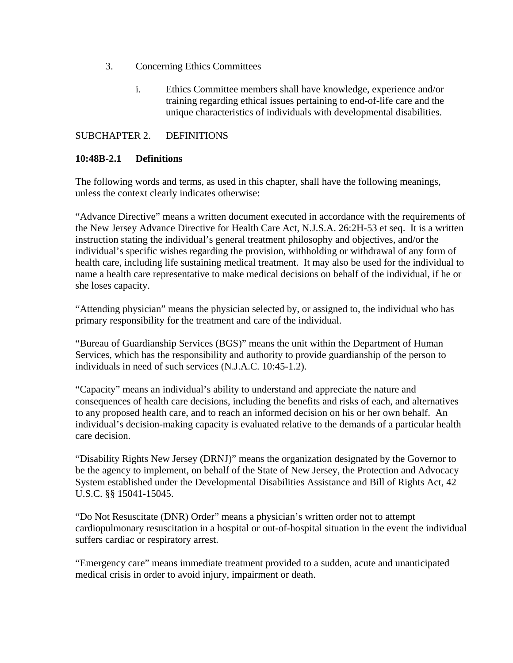- 3. Concerning Ethics Committees
	- i. Ethics Committee members shall have knowledge, experience and/or training regarding ethical issues pertaining to end-of-life care and the unique characteristics of individuals with developmental disabilities.

#### SUBCHAPTER 2. DEFINITIONS

#### **10:48B-2.1 Definitions**

The following words and terms, as used in this chapter, shall have the following meanings, unless the context clearly indicates otherwise:

"Advance Directive" means a written document executed in accordance with the requirements of the New Jersey Advance Directive for Health Care Act, N.J.S.A. 26:2H-53 et seq. It is a written instruction stating the individual's general treatment philosophy and objectives, and/or the individual's specific wishes regarding the provision, withholding or withdrawal of any form of health care, including life sustaining medical treatment. It may also be used for the individual to name a health care representative to make medical decisions on behalf of the individual, if he or she loses capacity.

"Attending physician" means the physician selected by, or assigned to, the individual who has primary responsibility for the treatment and care of the individual.

"Bureau of Guardianship Services (BGS)" means the unit within the Department of Human Services, which has the responsibility and authority to provide guardianship of the person to individuals in need of such services (N.J.A.C. 10:45-1.2).

"Capacity" means an individual's ability to understand and appreciate the nature and consequences of health care decisions, including the benefits and risks of each, and alternatives to any proposed health care, and to reach an informed decision on his or her own behalf. An individual's decision-making capacity is evaluated relative to the demands of a particular health care decision.

"Disability Rights New Jersey (DRNJ)" means the organization designated by the Governor to be the agency to implement, on behalf of the State of New Jersey, the Protection and Advocacy System established under the Developmental Disabilities Assistance and Bill of Rights Act, 42 U.S.C. §§ 15041-15045.

"Do Not Resuscitate (DNR) Order" means a physician's written order not to attempt cardiopulmonary resuscitation in a hospital or out-of-hospital situation in the event the individual suffers cardiac or respiratory arrest.

"Emergency care" means immediate treatment provided to a sudden, acute and unanticipated medical crisis in order to avoid injury, impairment or death.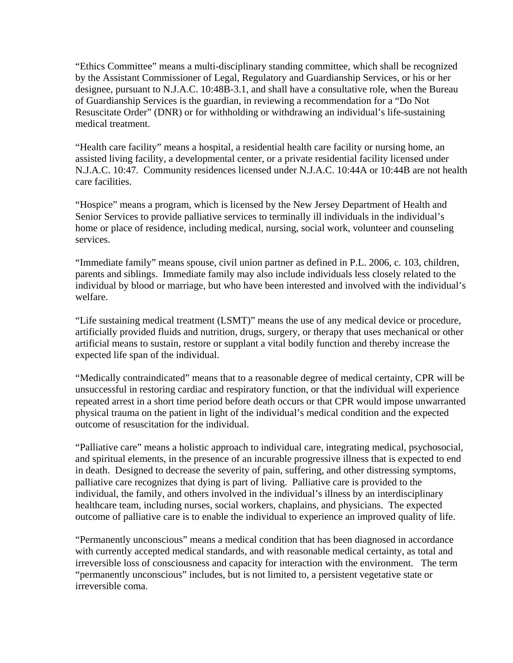"Ethics Committee" means a multi-disciplinary standing committee, which shall be recognized by the Assistant Commissioner of Legal, Regulatory and Guardianship Services, or his or her designee, pursuant to N.J.A.C. 10:48B-3.1, and shall have a consultative role, when the Bureau of Guardianship Services is the guardian, in reviewing a recommendation for a "Do Not Resuscitate Order" (DNR) or for withholding or withdrawing an individual's life-sustaining medical treatment.

"Health care facility" means a hospital, a residential health care facility or nursing home, an assisted living facility, a developmental center, or a private residential facility licensed under N.J.A.C. 10:47. Community residences licensed under N.J.A.C. 10:44A or 10:44B are not health care facilities.

"Hospice" means a program, which is licensed by the New Jersey Department of Health and Senior Services to provide palliative services to terminally ill individuals in the individual's home or place of residence, including medical, nursing, social work, volunteer and counseling services.

"Immediate family" means spouse, civil union partner as defined in P.L. 2006, c. 103, children, parents and siblings. Immediate family may also include individuals less closely related to the individual by blood or marriage, but who have been interested and involved with the individual's welfare.

"Life sustaining medical treatment (LSMT)" means the use of any medical device or procedure, artificially provided fluids and nutrition, drugs, surgery, or therapy that uses mechanical or other artificial means to sustain, restore or supplant a vital bodily function and thereby increase the expected life span of the individual.

"Medically contraindicated" means that to a reasonable degree of medical certainty, CPR will be unsuccessful in restoring cardiac and respiratory function, or that the individual will experience repeated arrest in a short time period before death occurs or that CPR would impose unwarranted physical trauma on the patient in light of the individual's medical condition and the expected outcome of resuscitation for the individual.

"Palliative care" means a holistic approach to individual care, integrating medical, psychosocial, and spiritual elements, in the presence of an incurable progressive illness that is expected to end in death. Designed to decrease the severity of pain, suffering, and other distressing symptoms, palliative care recognizes that dying is part of living. Palliative care is provided to the individual, the family, and others involved in the individual's illness by an interdisciplinary healthcare team, including nurses, social workers, chaplains, and physicians. The expected outcome of palliative care is to enable the individual to experience an improved quality of life.

"Permanently unconscious" means a medical condition that has been diagnosed in accordance with currently accepted medical standards, and with reasonable medical certainty, as total and irreversible loss of consciousness and capacity for interaction with the environment. The term "permanently unconscious" includes, but is not limited to, a persistent vegetative state or irreversible coma.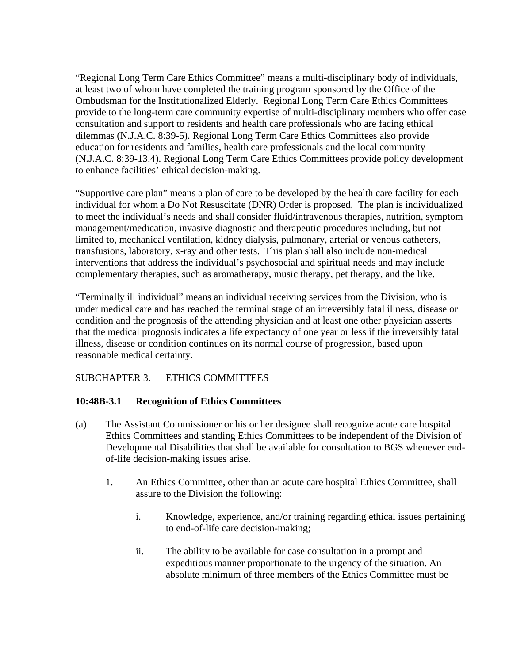"Regional Long Term Care Ethics Committee" means a multi-disciplinary body of individuals, at least two of whom have completed the training program sponsored by the Office of the Ombudsman for the Institutionalized Elderly. Regional Long Term Care Ethics Committees provide to the long-term care community expertise of multi-disciplinary members who offer case consultation and support to residents and health care professionals who are facing ethical dilemmas (N.J.A.C. 8:39-5). Regional Long Term Care Ethics Committees also provide education for residents and families, health care professionals and the local community (N.J.A.C. 8:39-13.4). Regional Long Term Care Ethics Committees provide policy development to enhance facilities' ethical decision-making.

"Supportive care plan" means a plan of care to be developed by the health care facility for each individual for whom a Do Not Resuscitate (DNR) Order is proposed. The plan is individualized to meet the individual's needs and shall consider fluid/intravenous therapies, nutrition, symptom management/medication, invasive diagnostic and therapeutic procedures including, but not limited to, mechanical ventilation, kidney dialysis, pulmonary, arterial or venous catheters, transfusions, laboratory, x-ray and other tests. This plan shall also include non-medical interventions that address the individual's psychosocial and spiritual needs and may include complementary therapies, such as aromatherapy, music therapy, pet therapy, and the like.

"Terminally ill individual" means an individual receiving services from the Division, who is under medical care and has reached the terminal stage of an irreversibly fatal illness, disease or condition and the prognosis of the attending physician and at least one other physician asserts that the medical prognosis indicates a life expectancy of one year or less if the irreversibly fatal illness, disease or condition continues on its normal course of progression, based upon reasonable medical certainty.

# SUBCHAPTER 3. ETHICS COMMITTEES

### **10:48B-3.1 Recognition of Ethics Committees**

- (a) The Assistant Commissioner or his or her designee shall recognize acute care hospital Ethics Committees and standing Ethics Committees to be independent of the Division of Developmental Disabilities that shall be available for consultation to BGS whenever end of-life decision-making issues arise.
	- 1. An Ethics Committee, other than an acute care hospital Ethics Committee, shall assure to the Division the following:
		- i. Knowledge, experience, and/or training regarding ethical issues pertaining to end-of-life care decision-making;
		- ii. The ability to be available for case consultation in a prompt and expeditious manner proportionate to the urgency of the situation. An absolute minimum of three members of the Ethics Committee must be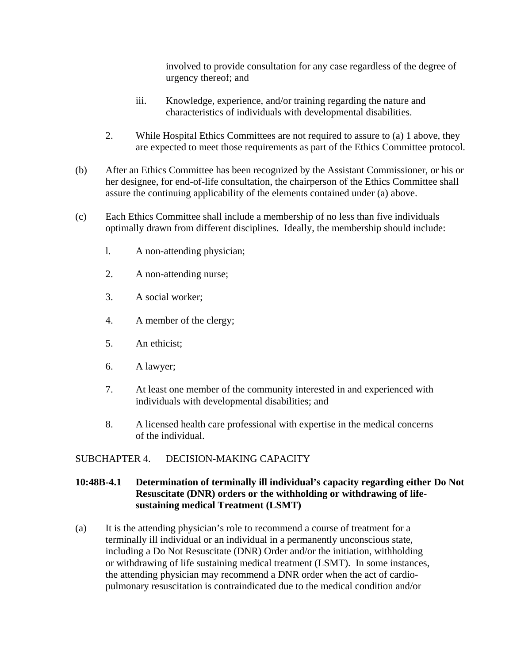involved to provide consultation for any case regardless of the degree of urgency thereof; and

- iii. Knowledge, experience, and/or training regarding the nature and characteristics of individuals with developmental disabilities.
- 2. While Hospital Ethics Committees are not required to assure to (a) 1 above, they are expected to meet those requirements as part of the Ethics Committee protocol.
- (b) After an Ethics Committee has been recognized by the Assistant Commissioner, or his or her designee, for end-of-life consultation, the chairperson of the Ethics Committee shall assure the continuing applicability of the elements contained under (a) above.
- (c) Each Ethics Committee shall include a membership of no less than five individuals optimally drawn from different disciplines. Ideally, the membership should include:
	- l. A non-attending physician;
	- 2. A non-attending nurse;
	- 3. A social worker;
	- 4. A member of the clergy;
	- 5. An ethicist;
	- 6. A lawyer;
	- 7. At least one member of the community interested in and experienced with individuals with developmental disabilities; and
	- 8. A licensed health care professional with expertise in the medical concerns of the individual.

### SUBCHAPTER 4. DECISION-MAKING CAPACITY

### **10:48B-4.1 Determination of terminally ill individual's capacity regarding either Do Not Resuscitate (DNR) orders or the withholding or withdrawing of life sustaining medical Treatment (LSMT)**

(a) It is the attending physician's role to recommend a course of treatment for a terminally ill individual or an individual in a permanently unconscious state, including a Do Not Resuscitate (DNR) Order and/or the initiation, withholding or withdrawing of life sustaining medical treatment (LSMT). In some instances, the attending physician may recommend a DNR order when the act of cardio pulmonary resuscitation is contraindicated due to the medical condition and/or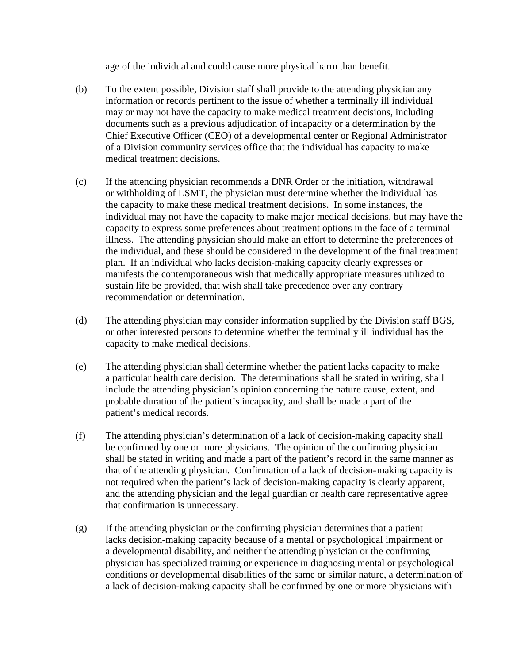age of the individual and could cause more physical harm than benefit.

- (b) To the extent possible, Division staff shall provide to the attending physician any information or records pertinent to the issue of whether a terminally ill individual may or may not have the capacity to make medical treatment decisions, including documents such as a previous adjudication of incapacity or a determination by the Chief Executive Officer (CEO) of a developmental center or Regional Administrator of a Division community services office that the individual has capacity to make medical treatment decisions.
- (c) If the attending physician recommends a DNR Order or the initiation, withdrawal or withholding of LSMT, the physician must determine whether the individual has the capacity to make these medical treatment decisions. In some instances, the individual may not have the capacity to make major medical decisions, but may have the capacity to express some preferences about treatment options in the face of a terminal illness. The attending physician should make an effort to determine the preferences of the individual, and these should be considered in the development of the final treatment plan. If an individual who lacks decision-making capacity clearly expresses or manifests the contemporaneous wish that medically appropriate measures utilized to sustain life be provided, that wish shall take precedence over any contrary recommendation or determination.
- (d) The attending physician may consider information supplied by the Division staff BGS, or other interested persons to determine whether the terminally ill individual has the capacity to make medical decisions.
- (e) The attending physician shall determine whether the patient lacks capacity to make a particular health care decision. The determinations shall be stated in writing, shall include the attending physician's opinion concerning the nature cause, extent, and probable duration of the patient's incapacity, and shall be made a part of the patient's medical records.
- (f) The attending physician's determination of a lack of decision-making capacity shall be confirmed by one or more physicians. The opinion of the confirming physician shall be stated in writing and made a part of the patient's record in the same manner as that of the attending physician. Confirmation of a lack of decision- making capacity is not required when the patient's lack of decision-making capacity is clearly apparent, and the attending physician and the legal guardian or health care representative agree that confirmation is unnecessary.
- (g) If the attending physician or the confirming physician determines that a patient lacks decision-making capacity because of a mental or psychological impairment or a developmental disability, and neither the attending physician or the confirming physician has specialized training or experience in diagnosing mental or psychological conditions or developmental disabilities of the same or similar nature, a determination of a lack of decision-making capacity shall be confirmed by one or more physicians with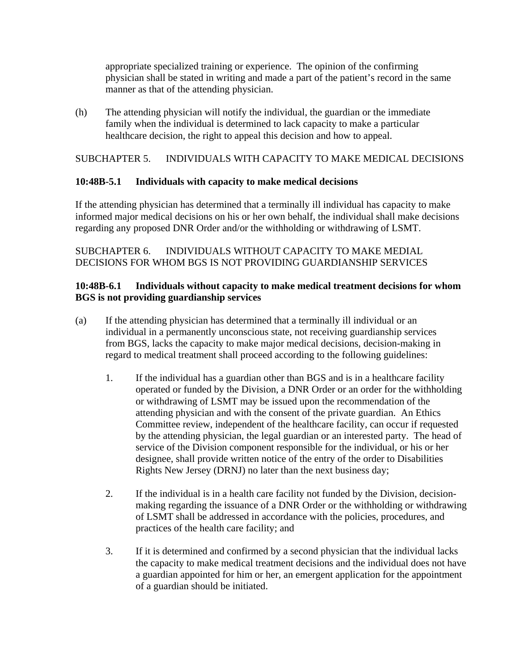appropriate specialized training or experience. The opinion of the confirming physician shall be stated in writing and made a part of the patient's record in the same manner as that of the attending physician.

(h) The attending physician will notify the individual, the guardian or the immediate family when the individual is determined to lack capacity to make a particular healthcare decision, the right to appeal this decision and how to appeal.

## SUBCHAPTER 5. INDIVIDUALS WITH CAPACITY TO MAKE MEDICAL DECISIONS

### **10:48B-5.1 Individuals with capacity to make medical decisions**

If the attending physician has determined that a terminally ill individual has capacity to make informed major medical decisions on his or her own behalf, the individual shall make decisions regarding any proposed DNR Order and/or the withholding or withdrawing of LSMT.

## SUBCHAPTER 6. INDIVIDUALS WITHOUT CAPACITY TO MAKE MEDIAL DECISIONS FOR WHOM BGS IS NOT PROVIDING GUARDIANSHIP SERVICES

### **10:48B-6.1 Individuals without capacity to make medical treatment decisions for whom BGS is not providing guardianship services**

- (a) If the attending physician has determined that a terminally ill individual or an individual in a permanently unconscious state, not receiving guardianship services from BGS, lacks the capacity to make major medical decisions, decision-making in regard to medical treatment shall proceed according to the following guidelines:
	- 1. If the individual has a guardian other than BGS and is in a healthcare facility operated or funded by the Division, a DNR Order or an order for the withholding or withdrawing of LSMT may be issued upon the recommendation of the attending physician and with the consent of the private guardian. An Ethics Committee review, independent of the healthcare facility, can occur if requested by the attending physician, the legal guardian or an interested party. The head of service of the Division component responsible for the individual, or his or her designee, shall provide written notice of the entry of the order to Disabilities Rights New Jersey (DRNJ) no later than the next business day;
	- 2. If the individual is in a health care facility not funded by the Division, decisionmaking regarding the issuance of a DNR Order or the withholding or withdrawing of LSMT shall be addressed in accordance with the policies, procedures, and practices of the health care facility; and
	- 3. If it is determined and confirmed by a second physician that the individual lacks the capacity to make medical treatment decisions and the individual does not have a guardian appointed for him or her, an emergent application for the appointment of a guardian should be initiated.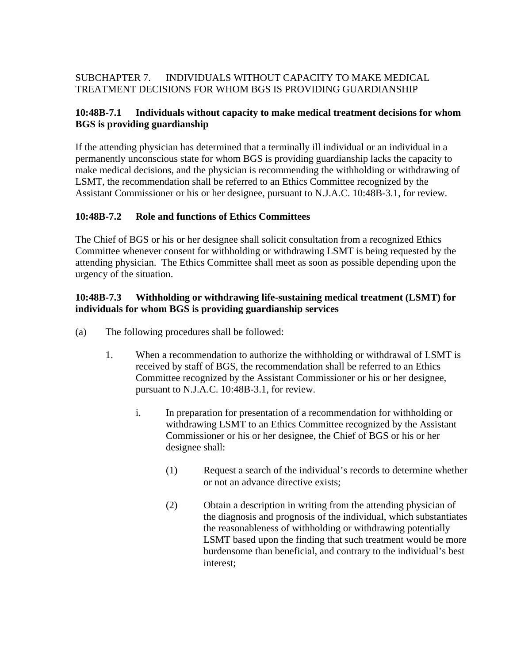# SUBCHAPTER 7. INDIVIDUALS WITHOUT CAPACITY TO MAKE MEDICAL TREATMENT DECISIONS FOR WHOM BGS IS PROVIDING GUARDIANSHIP

## **10:48B-7.1 Individuals without capacity to make medical treatment decisions for whom BGS is providing guardianship**

If the attending physician has determined that a terminally ill individual or an individual in a permanently unconscious state for whom BGS is providing guardianship lacks the capacity to make medical decisions, and the physician is recommending the withholding or withdrawing of LSMT, the recommendation shall be referred to an Ethics Committee recognized by the Assistant Commissioner or his or her designee, pursuant to N.J.A.C. 10:48B-3.1, for review.

# **10:48B-7.2 Role and functions of Ethics Committees**

The Chief of BGS or his or her designee shall solicit consultation from a recognized Ethics Committee whenever consent for withholding or withdrawing LSMT is being requested by the attending physician. The Ethics Committee shall meet as soon as possible depending upon the urgency of the situation.

### **10:48B-7.3 Withholding or withdrawing life-sustaining medical treatment (LSMT) for individuals for whom BGS is providing guardianship services**

- (a) The following procedures shall be followed:
	- 1. When a recommendation to authorize the withholding or withdrawal of LSMT is received by staff of BGS, the recommendation shall be referred to an Ethics Committee recognized by the Assistant Commissioner or his or her designee, pursuant to N.J.A.C. 10:48B-3.1, for review.
		- i. In preparation for presentation of a recommendation for withholding or withdrawing LSMT to an Ethics Committee recognized by the Assistant Commissioner or his or her designee, the Chief of BGS or his or her designee shall:
			- (1) Request a search of the individual's records to determine whether or not an advance directive exists;
			- (2) Obtain a description in writing from the attending physician of the diagnosis and prognosis of the individual, which substantiates the reasonableness of withholding or withdrawing potentially LSMT based upon the finding that such treatment would be more burdensome than beneficial, and contrary to the individual's best interest;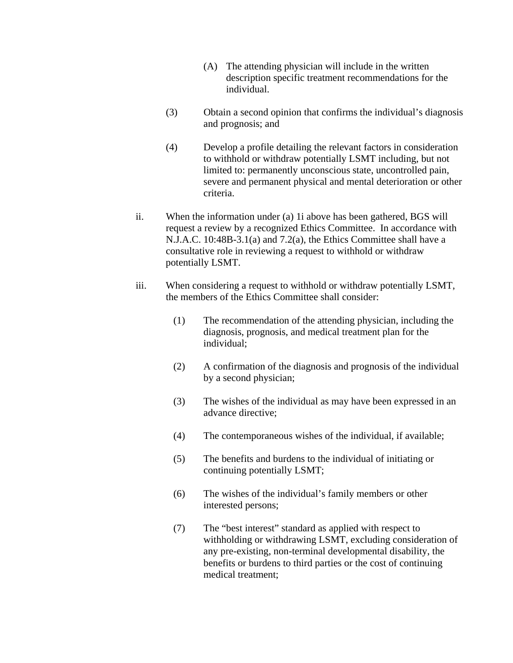- (A) The attending physician will include in the written description specific treatment recommendations for the individual.
- (3) Obtain a second opinion that confirms the individual's diagnosis and prognosis; and
- (4) Develop a profile detailing the relevant factors in consideration to withhold or withdraw potentially LSMT including, but not limited to: permanently unconscious state, uncontrolled pain, severe and permanent physical and mental deterioration or other criteria.
- ii. When the information under (a) 1i above has been gathered, BGS will request a review by a recognized Ethics Committee. In accordance with N.J.A.C. 10:48B-3.1(a) and 7.2(a), the Ethics Committee shall have a consultative role in reviewing a request to withhold or withdraw potentially LSMT.
- iii. When considering a request to withhold or withdraw potentially LSMT, the members of the Ethics Committee shall consider:
	- (1) The recommendation of the attending physician, including the diagnosis, prognosis, and medical treatment plan for the individual;
	- (2) A confirmation of the diagnosis and prognosis of the individual by a second physician;
	- (3) The wishes of the individual as may have been expressed in an advance directive;
	- (4) The contemporaneous wishes of the individual, if available;
	- (5) The benefits and burdens to the individual of initiating or continuing potentially LSMT;
	- (6) The wishes of the individual's family members or other interested persons;
	- (7) The "best interest" standard as applied with respect to withholding or withdrawing LSMT, excluding consideration of any pre-existing, non-terminal developmental disability, the benefits or burdens to third parties or the cost of continuing medical treatment;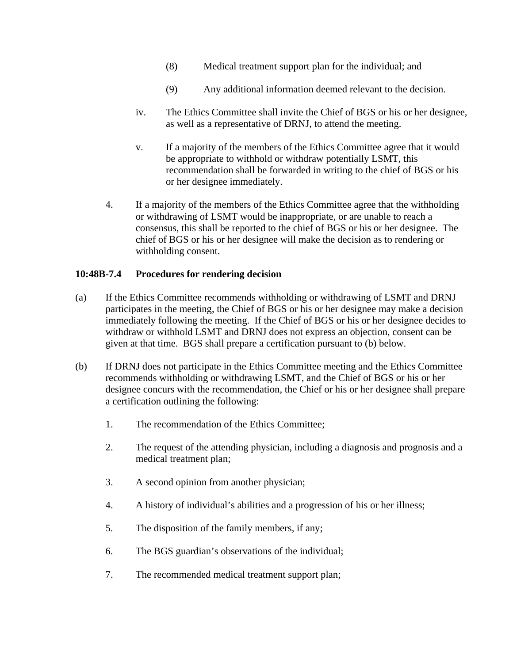- (8) Medical treatment support plan for the individual; and
- (9) Any additional information deemed relevant to the decision.
- iv. The Ethics Committee shall invite the Chief of BGS or his or her designee, as well as a representative of DRNJ, to attend the meeting.
- v. If a majority of the members of the Ethics Committee agree that it would be appropriate to withhold or withdraw potentially LSMT, this recommendation shall be forwarded in writing to the chief of BGS or his or her designee immediately.
- 4. If a majority of the members of the Ethics Committee agree that the withholding or withdrawing of LSMT would be inappropriate, or are unable to reach a consensus, this shall be reported to the chief of BGS or his or her designee. The chief of BGS or his or her designee will make the decision as to rendering or withholding consent.

### **10:48B-7.4 Procedures for rendering decision**

- (a) If the Ethics Committee recommends withholding or withdrawing of LSMT and DRNJ participates in the meeting, the Chief of BGS or his or her designee may make a decision immediately following the meeting. If the Chief of BGS or his or her designee decides to withdraw or withhold LSMT and DRNJ does not express an objection, consent can be given at that time. BGS shall prepare a certification pursuant to (b) below.
- (b) If DRNJ does not participate in the Ethics Committee meeting and the Ethics Committee recommends withholding or withdrawing LSMT, and the Chief of BGS or his or her designee concurs with the recommendation, the Chief or his or her designee shall prepare a certification outlining the following:
	- 1. The recommendation of the Ethics Committee;
	- 2. The request of the attending physician, including a diagnosis and prognosis and a medical treatment plan;
	- 3. A second opinion from another physician;
	- 4. A history of individual's abilities and a progression of his or her illness;
	- 5. The disposition of the family members, if any;
	- 6. The BGS guardian's observations of the individual;
	- 7. The recommended medical treatment support plan;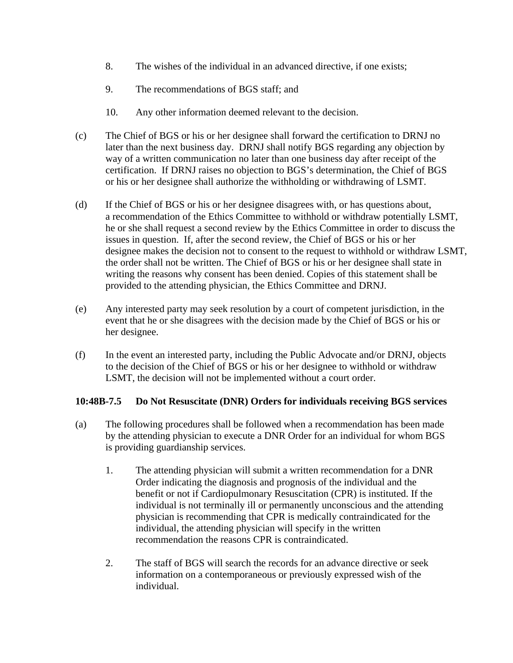- 8. The wishes of the individual in an advanced directive, if one exists;
- 9. The recommendations of BGS staff; and
- 10. Any other information deemed relevant to the decision.
- (c) The Chief of BGS or his or her designee shall forward the certification to DRNJ no later than the next business day. DRNJ shall notify BGS regarding any objection by way of a written communication no later than one business day after receipt of the certification. If DRNJ raises no objection to BGS's determination, the Chief of BGS or his or her designee shall authorize the withholding or withdrawing of LSMT.
- (d) If the Chief of BGS or his or her designee disagrees with, or has questions about, a recommendation of the Ethics Committee to withhold or withdraw potentially LSMT, he or she shall request a second review by the Ethics Committee in order to discuss the issues in question. If, after the second review, the Chief of BGS or his or her designee makes the decision not to consent to the request to withhold or withdraw LSMT, the order shall not be written. The Chief of BGS or his or her designee shall state in writing the reasons why consent has been denied. Copies of this statement shall be provided to the attending physician, the Ethics Committee and DRNJ.
- (e) Any interested party may seek resolution by a court of competent jurisdiction, in the event that he or she disagrees with the decision made by the Chief of BGS or his or her designee.
- (f) In the event an interested party, including the Public Advocate and/or DRNJ, objects to the decision of the Chief of BGS or his or her designee to withhold or withdraw LSMT, the decision will not be implemented without a court order.

### **10:48B-7.5 Do Not Resuscitate (DNR) Orders for individuals receiving BGS services**

- (a) The following procedures shall be followed when a recommendation has been made by the attending physician to execute a DNR Order for an individual for whom BGS is providing guardianship services.
	- 1. The attending physician will submit a written recommendation for a DNR Order indicating the diagnosis and prognosis of the individual and the benefit or not if Cardiopulmonary Resuscitation (CPR) is instituted. If the individual is not terminally ill or permanently unconscious and the attending physician is recommending that CPR is medically contraindicated for the individual, the attending physician will specify in the written recommendation the reasons CPR is contraindicated.
	- 2. The staff of BGS will search the records for an advance directive or seek information on a contemporaneous or previously expressed wish of the individual.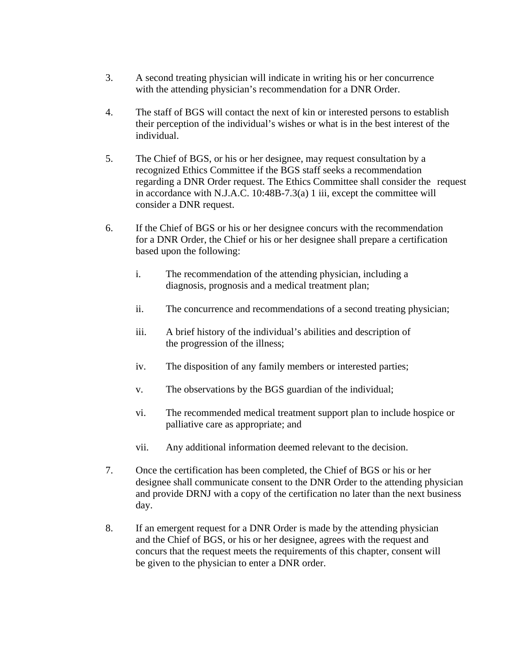- 3. A second treating physician will indicate in writing his or her concurrence with the attending physician's recommendation for a DNR Order.
- 4. The staff of BGS will contact the next of kin or interested persons to establish their perception of the individual's wishes or what is in the best interest of the individual.
- 5. The Chief of BGS, or his or her designee, may request consultation by a recognized Ethics Committee if the BGS staff seeks a recommendation regarding a DNR Order request. The Ethics Committee shall consider the request in accordance with N.J.A.C. 10:48B-7.3(a) 1 iii, except the committee will consider a DNR request.
- 6. If the Chief of BGS or his or her designee concurs with the recommendation for a DNR Order, the Chief or his or her designee shall prepare a certification based upon the following:
	- i. The recommendation of the attending physician, including a diagnosis, prognosis and a medical treatment plan;
	- ii. The concurrence and recommendations of a second treating physician;
	- iii. A brief history of the individual's abilities and description of the progression of the illness;
	- iv. The disposition of any family members or interested parties;
	- v. The observations by the BGS guardian of the individual;
	- vi. The recommended medical treatment support plan to include hospice or palliative care as appropriate; and
	- vii. Any additional information deemed relevant to the decision.
- 7. Once the certification has been completed, the Chief of BGS or his or her designee shall communicate consent to the DNR Order to the attending physician and provide DRNJ with a copy of the certification no later than the next business day.
- 8. If an emergent request for a DNR Order is made by the attending physician and the Chief of BGS, or his or her designee, agrees with the request and concurs that the request meets the requirements of this chapter, consent will be given to the physician to enter a DNR order.